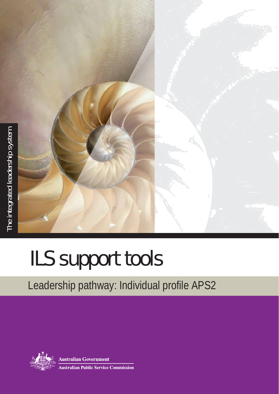

## ILS support tools

## Leadership pathway: Individual profile APS2



**Australian Government Australian Public Service Commission**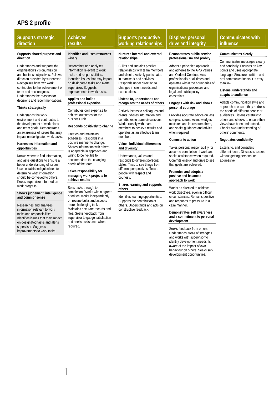## **APS 2 profile**

1

| <b>Supports strategic</b><br>direction                                                                                                                                                                                                                                                                                                                                                                                                                                                                                                                                                                                                                                                                                                                                                                                                                                                                                                                                                                                                                                                                                                                          | <b>Achieves</b><br>results                                                                                                                                                                                                                                                                                                                                                                                                                                                                                                                                                                                                                                                                                                                                                                                                                                                                                                                                                                                                                              | <b>Supports productive</b><br>working relationships                                                                                                                                                                                                                                                                                                                                                                                                                                                                                                                                                                                                                                                                                                                                                                                                                                                                                                                     | <b>Displays personal</b><br>drive and integrity                                                                                                                                                                                                                                                                                                                                                                                                                                                                                                                                                                                                                                                                                                                                                                                                                                                                                                                                                                                                                                                                                                                                                                                                                         | <b>Communicates with</b><br>influence                                                                                                                                                                                                                                                                                                                                                                                                                                                                                                                                                                                                                                              |
|-----------------------------------------------------------------------------------------------------------------------------------------------------------------------------------------------------------------------------------------------------------------------------------------------------------------------------------------------------------------------------------------------------------------------------------------------------------------------------------------------------------------------------------------------------------------------------------------------------------------------------------------------------------------------------------------------------------------------------------------------------------------------------------------------------------------------------------------------------------------------------------------------------------------------------------------------------------------------------------------------------------------------------------------------------------------------------------------------------------------------------------------------------------------|---------------------------------------------------------------------------------------------------------------------------------------------------------------------------------------------------------------------------------------------------------------------------------------------------------------------------------------------------------------------------------------------------------------------------------------------------------------------------------------------------------------------------------------------------------------------------------------------------------------------------------------------------------------------------------------------------------------------------------------------------------------------------------------------------------------------------------------------------------------------------------------------------------------------------------------------------------------------------------------------------------------------------------------------------------|-------------------------------------------------------------------------------------------------------------------------------------------------------------------------------------------------------------------------------------------------------------------------------------------------------------------------------------------------------------------------------------------------------------------------------------------------------------------------------------------------------------------------------------------------------------------------------------------------------------------------------------------------------------------------------------------------------------------------------------------------------------------------------------------------------------------------------------------------------------------------------------------------------------------------------------------------------------------------|-------------------------------------------------------------------------------------------------------------------------------------------------------------------------------------------------------------------------------------------------------------------------------------------------------------------------------------------------------------------------------------------------------------------------------------------------------------------------------------------------------------------------------------------------------------------------------------------------------------------------------------------------------------------------------------------------------------------------------------------------------------------------------------------------------------------------------------------------------------------------------------------------------------------------------------------------------------------------------------------------------------------------------------------------------------------------------------------------------------------------------------------------------------------------------------------------------------------------------------------------------------------------|------------------------------------------------------------------------------------------------------------------------------------------------------------------------------------------------------------------------------------------------------------------------------------------------------------------------------------------------------------------------------------------------------------------------------------------------------------------------------------------------------------------------------------------------------------------------------------------------------------------------------------------------------------------------------------|
| Supports shared purpose and<br>direction<br>Understands and supports the<br>organisation's vision, mission<br>and business objectives. Follows<br>direction provided by supervisor.<br>Recognises how own work<br>contributes to the achievement of<br>team and section goals.<br>Understands the reasons for<br>decisions and recommendations.<br>Thinks strategically<br>Understands the work<br>environment and contributes to<br>the development of work plans<br>and team goals. Demonstrates<br>an awareness of issues that may<br>impact on designated work tasks.<br>Harnesses information and<br>opportunities<br>Knows where to find information,<br>and asks questions to ensure a<br>better understanding of issues.<br>Uses established guidelines to<br>determine what information<br>should be conveyed to others.<br>Keeps supervisor informed on<br>work progress.<br>Shows judgement, intelligence<br>and commonsense<br>Researches and analyses<br>information relevant to work<br>tasks and responsibilities.<br>Identifies issues that may impact<br>on designated tasks and alerts<br>supervisor. Suggests<br>improvements to work tasks. | Identifies and uses resources<br>wisely<br>Researches and analyses<br>information relevant to work<br>tasks and responsibilities.<br>Identifies issues that may impact<br>on designated tasks and alerts<br>supervisor. Suggests<br>improvements to work tasks.<br>Applies and builds<br>professional expertise<br>Contributes own expertise to<br>achieve outcomes for the<br>business unit.<br>Responds positively to change<br>Creates and maintains<br>schedules. Responds in a<br>positive manner to change.<br>Shares information with others.<br>Is adaptable in approach and<br>willing to be flexible to<br>accommodate the changing<br>needs of the team.<br>Takes responsibility for<br>managing work projects to<br>achieve results<br>Sees tasks through to<br>completion. Works within agreed<br>priorities, works independently<br>on routine tasks and accepts<br>more challenging tasks.<br>Maintains accurate records and<br>files. Seeks feedback from<br>supervisor to gauge satisfaction<br>and seeks assistance when<br>required. | Nurtures internal and external<br>relationships<br>Builds and sustains positive<br>relationships with team members<br>and clients. Actively participates<br>in teamwork and activities.<br>Responds under direction to<br>changes in client needs and<br>expectations.<br>Listens to, understands and<br>recognises the needs of others<br>Actively listens to colleagues and<br>clients. Shares information and<br>contributes to team discussions.<br>Works closely with team<br>members to achieve results and<br>operates as an effective team<br>member.<br>Values individual differences<br>and diversity<br>Understands, values and<br>responds to different personal<br>styles. Tries to see things from<br>different perspectives. Treats<br>people with respect and<br>courtesy.<br>Shares learning and supports<br>others<br>Identifies learning opportunities.<br>Supports the contribution of<br>others. Understands and acts on<br>constructive feedback. | Demonstrates public service<br>professionalism and probity<br>Adopts a principled approach<br>and adheres to the APS Values<br>and Code of Conduct. Acts<br>professionally at all times and<br>operates within the boundaries of<br>organisational processes and<br>legal and public policy<br>constraints.<br>Engages with risk and shows<br>personal courage<br>Provides accurate advice on less<br>complex issues. Acknowledges<br>mistakes and learns from them,<br>and seeks quidance and advice<br>when required.<br>Commits to action<br>Takes personal responsibility for<br>accurate completion of work and<br>seeks assistance when required.<br>Commits energy and drive to see<br>that goals are achieved.<br>Promotes and adopts a<br>positive and balanced<br>approach to work<br>Works as directed to achieve<br>work objectives, even in difficult<br>circumstances. Remains positive<br>and responds to pressure in a<br>calm manner.<br>Demonstrates self awareness<br>and a commitment to personal<br>development<br>Seeks feedback from others.<br>Understands areas of strengths<br>and works with supervisor to<br>identify development needs. Is<br>aware of the impact of own<br>behaviour on others. Seeks self-<br>development opportunities. | Communicates clearly<br>Communicates messages clearly<br>and concisely. Focuses on key<br>points and uses appropriate<br>language. Structures written and<br>oral communication so it is easy<br>to follow.<br>Listens, understands and<br>adapts to audience<br>Adapts communication style and<br>approach to ensure they address<br>the needs of different people or<br>audiences. Listens carefully to<br>others and checks to ensure their<br>views have been understood.<br>Checks own understanding of<br>others' comments.<br><b>Negotiates confidently</b><br>Listens to, and considers<br>different ideas. Discusses issues<br>without getting personal or<br>aggressive. |
|                                                                                                                                                                                                                                                                                                                                                                                                                                                                                                                                                                                                                                                                                                                                                                                                                                                                                                                                                                                                                                                                                                                                                                 |                                                                                                                                                                                                                                                                                                                                                                                                                                                                                                                                                                                                                                                                                                                                                                                                                                                                                                                                                                                                                                                         |                                                                                                                                                                                                                                                                                                                                                                                                                                                                                                                                                                                                                                                                                                                                                                                                                                                                                                                                                                         |                                                                                                                                                                                                                                                                                                                                                                                                                                                                                                                                                                                                                                                                                                                                                                                                                                                                                                                                                                                                                                                                                                                                                                                                                                                                         |                                                                                                                                                                                                                                                                                                                                                                                                                                                                                                                                                                                                                                                                                    |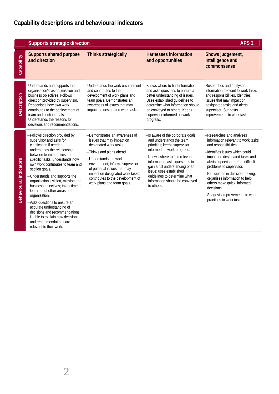|                               | <b>Supports strategic direction</b>                                                                                                                                                                                                                                                                                                                                                                                                                                                                                                                                                                    |                                                                                                                                                                                                                                                                                                                     |                                                                                                                                                                                                                                                                                                                                             | APS <sub>2</sub>                                                                                                                                                                                                                                                                                                                                                                                               |
|-------------------------------|--------------------------------------------------------------------------------------------------------------------------------------------------------------------------------------------------------------------------------------------------------------------------------------------------------------------------------------------------------------------------------------------------------------------------------------------------------------------------------------------------------------------------------------------------------------------------------------------------------|---------------------------------------------------------------------------------------------------------------------------------------------------------------------------------------------------------------------------------------------------------------------------------------------------------------------|---------------------------------------------------------------------------------------------------------------------------------------------------------------------------------------------------------------------------------------------------------------------------------------------------------------------------------------------|----------------------------------------------------------------------------------------------------------------------------------------------------------------------------------------------------------------------------------------------------------------------------------------------------------------------------------------------------------------------------------------------------------------|
| Capability                    | <b>Supports shared purpose</b><br>and direction                                                                                                                                                                                                                                                                                                                                                                                                                                                                                                                                                        | <b>Thinks strategically</b>                                                                                                                                                                                                                                                                                         | <b>Harnesses information</b><br>and opportunities                                                                                                                                                                                                                                                                                           | Shows judgement,<br>intelligence and<br>commonsense                                                                                                                                                                                                                                                                                                                                                            |
| <b>Description</b>            | Understands and supports the<br>organisation's vision, mission and<br>business objectives. Follows<br>direction provided by supervisor.<br>Recognises how own work<br>contributes to the achievement of<br>team and section goals.<br>Understands the reasons for<br>decisions and recommendations.                                                                                                                                                                                                                                                                                                    | Understands the work environment<br>and contributes to the<br>development of work plans and<br>team goals. Demonstrates an<br>awareness of issues that may<br>impact on designated work tasks.                                                                                                                      | Knows where to find information.<br>and asks questions to ensure a<br>better understanding of issues.<br>Uses established guidelines to<br>determine what information should<br>be conveyed to others. Keeps<br>supervisor informed on work<br>progress.                                                                                    | Researches and analyses<br>information relevant to work tasks<br>and responsibilities. Identifies<br>issues that may impact on<br>designated tasks and alerts<br>supervisor. Suggests<br>improvements to work tasks.                                                                                                                                                                                           |
| <b>Behavioural indicators</b> | -Follows direction provided by<br>supervisor and asks for<br>clarification if needed:<br>understands the relationship<br>between team priorities and<br>specific tasks; understands how<br>own work contributes to team and<br>section goals.<br>-Understands and supports the<br>organisation's vision, mission and<br>business objectives; takes time to<br>learn about other areas of the<br>organisation.<br>-Asks questions to ensure an<br>accurate understanding of<br>decisions and recommendations:<br>is able to explain how decisions<br>and recommendations are<br>relevant to their work. | -Demonstrates an awareness of<br>issues that may impact on<br>designated work tasks.<br>-Thinks and plans ahead.<br>-Understands the work<br>environment; informs supervisor<br>of potential issues that may<br>impact on designated work tasks;<br>contributes to the development of<br>work plans and team goals. | -Is aware of the corporate goals<br>and understands the team<br>priorities; keeps supervisor<br>informed on work progress.<br>-Knows where to find relevant<br>information; asks questions to<br>gain a full understanding of an<br>issue: uses established<br>quidelines to determine what<br>information should be conveyed<br>to others. | -Researches and analyses<br>information relevant to work tasks<br>and responsibilities.<br>-Identifies issues which could<br>impact on designated tasks and<br>alerts supervisor; refers difficult<br>problems to supervisor.<br>-Participates in decision-making;<br>organises information to help<br>others make quick, informed<br>decisions.<br>-Suggests improvements to work<br>practices to work tasks. |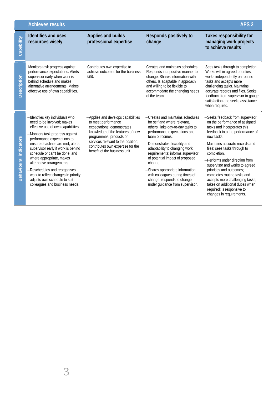|                               | <b>Achieves results</b>                                                                                                                                                                                                                                                                                                                                                                                                                                                              |                                                                                                                                                                                                                                                                    | APS <sub>2</sub>                                                                                                                                                                                                                                                                                                                                                                                                                                   |                                                                                                                                                                                                                                                                                                                                                                                                                                                                                                     |
|-------------------------------|--------------------------------------------------------------------------------------------------------------------------------------------------------------------------------------------------------------------------------------------------------------------------------------------------------------------------------------------------------------------------------------------------------------------------------------------------------------------------------------|--------------------------------------------------------------------------------------------------------------------------------------------------------------------------------------------------------------------------------------------------------------------|----------------------------------------------------------------------------------------------------------------------------------------------------------------------------------------------------------------------------------------------------------------------------------------------------------------------------------------------------------------------------------------------------------------------------------------------------|-----------------------------------------------------------------------------------------------------------------------------------------------------------------------------------------------------------------------------------------------------------------------------------------------------------------------------------------------------------------------------------------------------------------------------------------------------------------------------------------------------|
| Capability                    | Identifies and uses<br>resources wisely                                                                                                                                                                                                                                                                                                                                                                                                                                              | <b>Applies and builds</b><br>professional expertise                                                                                                                                                                                                                | Responds positively to<br>change                                                                                                                                                                                                                                                                                                                                                                                                                   | Takes responsibility for<br>managing work projects<br>to achieve results                                                                                                                                                                                                                                                                                                                                                                                                                            |
| Description                   | Monitors task progress against<br>performance expectations. Alerts<br>supervisor early when work is<br>behind schedule and makes<br>alternative arrangements. Makes<br>effective use of own capabilities.                                                                                                                                                                                                                                                                            | Contributes own expertise to<br>achieve outcomes for the business<br>unit.                                                                                                                                                                                         | Creates and maintains schedules.<br>Responds in a positive manner to<br>change. Shares information with<br>others. Is adaptable in approach<br>and willing to be flexible to<br>accommodate the changing needs<br>of the team.                                                                                                                                                                                                                     | Sees tasks through to completion.<br>Works within agreed priorities,<br>works independently on routine<br>tasks and accepts more<br>challenging tasks. Maintains<br>accurate records and files. Seeks<br>feedback from supervisor to gauge<br>satisfaction and seeks assistance<br>when required.                                                                                                                                                                                                   |
| <b>Behavioural indicators</b> | -Identifies key individuals who<br>need to be involved; makes<br>effective use of own capabilities.<br>-Monitors task progress against<br>performance expectations to<br>ensure deadlines are met; alerts<br>supervisor early if work is behind<br>schedule or can't be done, and<br>where appropriate, makes<br>alternative arrangements.<br>-Reschedules and reorganises<br>work to reflect changes in priority;<br>adjusts own schedule to suit<br>colleagues and business needs. | -Applies and develops capabilities<br>to meet performance<br>expectations; demonstrates<br>knowledge of the features of new<br>programmes, products or<br>services relevant to the position;<br>contributes own expertise for the<br>benefit of the business unit. | -Creates and maintains schedules<br>for self and where relevant.<br>others; links day-to-day tasks to<br>performance expectations and<br>team outcomes.<br>-Demonstrates flexibility and<br>adaptability to changing work<br>requirements; informs supervisor<br>of potential impact of proposed<br>change.<br>-Shares appropriate information<br>with colleagues during times of<br>change; responds to change<br>under guidance from supervisor. | -Seeks feedback from supervisor<br>on the performance of assigned<br>tasks and incorporates this<br>feedback into the performance of<br>new tasks.<br>-Maintains accurate records and<br>files; sees tasks through to<br>completion.<br>-Performs under direction from<br>supervisor and works to agreed<br>priorities and outcomes;<br>completes routine tasks and<br>accepts more challenging tasks;<br>takes on additional duties when<br>required; is responsive to<br>changes in requirements. |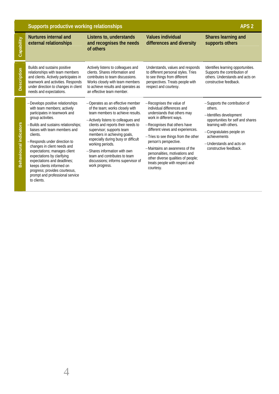|                               | Supports productive working relationships                                                                                                                                                                                                                                                                                                                                                                                                                                            | APS <sub>2</sub>                                                                                                                                                                                                                                                                                                                                                                                                                    |                                                                                                                                                                                                                                                                                                                                                                                                               |                                                                                                                                                                                                                                     |
|-------------------------------|--------------------------------------------------------------------------------------------------------------------------------------------------------------------------------------------------------------------------------------------------------------------------------------------------------------------------------------------------------------------------------------------------------------------------------------------------------------------------------------|-------------------------------------------------------------------------------------------------------------------------------------------------------------------------------------------------------------------------------------------------------------------------------------------------------------------------------------------------------------------------------------------------------------------------------------|---------------------------------------------------------------------------------------------------------------------------------------------------------------------------------------------------------------------------------------------------------------------------------------------------------------------------------------------------------------------------------------------------------------|-------------------------------------------------------------------------------------------------------------------------------------------------------------------------------------------------------------------------------------|
| Capability                    | <b>Nurtures internal and</b><br>external relationships                                                                                                                                                                                                                                                                                                                                                                                                                               | Listens to, understands<br>and recognises the needs<br>of others                                                                                                                                                                                                                                                                                                                                                                    | <b>Values individual</b><br>differences and diversity                                                                                                                                                                                                                                                                                                                                                         | Shares learning and<br>supports others                                                                                                                                                                                              |
| <b>Description</b>            | Builds and sustains positive<br>relationships with team members<br>and clients. Actively participates in<br>teamwork and activities. Responds<br>under direction to changes in client<br>needs and expectations.                                                                                                                                                                                                                                                                     | Actively listens to colleagues and<br>clients. Shares information and<br>contributes to team discussions.<br>Works closely with team members<br>to achieve results and operates as<br>an effective team member.                                                                                                                                                                                                                     | Understands, values and responds<br>to different personal styles. Tries<br>to see things from different<br>perspectives. Treats people with<br>respect and courtesy.                                                                                                                                                                                                                                          | Identifies learning opportunities.<br>Supports the contribution of<br>others. Understands and acts on<br>constructive feedback.                                                                                                     |
| <b>Behavioural indicators</b> | -Develops positive relationships<br>with team members; actively<br>participates in teamwork and<br>group activities.<br>-Builds and sustains relationships;<br>liaises with team members and<br>clients.<br>-Responds under direction to<br>changes in client needs and<br>expectations; manages client<br>expectations by clarifying<br>expectations and deadlines;<br>keeps clients informed on<br>progress; provides courteous,<br>prompt and professional service<br>to clients. | -Operates as an effective member<br>of the team; works closely with<br>team members to achieve results.<br>-Actively listens to colleagues and<br>clients and reports their needs to<br>supervisor; supports team<br>members in achieving goals,<br>especially during busy or difficult<br>working periods.<br>-Shares information with own<br>team and contributes to team<br>discussions; informs supervisor of<br>work progress. | -Recognises the value of<br>individual differences and<br>understands that others may<br>work in different ways.<br>-Recognises that others have<br>different views and experiences.<br>-Tries to see things from the other<br>person's perspective.<br>-Maintains an awareness of the<br>personalities, motivations and<br>other diverse qualities of people;<br>treats people with respect and<br>courtesy. | -Supports the contribution of<br>others.<br>-Identifies development<br>opportunities for self and shares<br>learning with others.<br>-Congratulates people on<br>achievements<br>-Understands and acts on<br>constructive feedback. |

4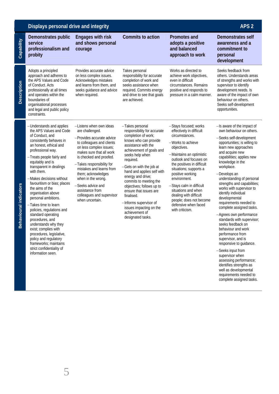|                               | Displays personal drive and integrity                                                                                                                                                                                                                                                                                                                                                                                                                                                                                                                                                                                                               |                                                                                                                                                                                                                                                                                                                                                                                     |                                                                                                                                                                                                                                                                                                                                                                                                                                                             |                                                                                                                                                                                                                                                                                                                                                                                                              | APS <sub>2</sub>                                                                                                                                                                                                                                                                                                                                                                                                                                                                                                                                                                                                                                                                                                                                                                       |
|-------------------------------|-----------------------------------------------------------------------------------------------------------------------------------------------------------------------------------------------------------------------------------------------------------------------------------------------------------------------------------------------------------------------------------------------------------------------------------------------------------------------------------------------------------------------------------------------------------------------------------------------------------------------------------------------------|-------------------------------------------------------------------------------------------------------------------------------------------------------------------------------------------------------------------------------------------------------------------------------------------------------------------------------------------------------------------------------------|-------------------------------------------------------------------------------------------------------------------------------------------------------------------------------------------------------------------------------------------------------------------------------------------------------------------------------------------------------------------------------------------------------------------------------------------------------------|--------------------------------------------------------------------------------------------------------------------------------------------------------------------------------------------------------------------------------------------------------------------------------------------------------------------------------------------------------------------------------------------------------------|----------------------------------------------------------------------------------------------------------------------------------------------------------------------------------------------------------------------------------------------------------------------------------------------------------------------------------------------------------------------------------------------------------------------------------------------------------------------------------------------------------------------------------------------------------------------------------------------------------------------------------------------------------------------------------------------------------------------------------------------------------------------------------------|
| Capability                    | Demonstrates public<br>service<br>professionalism and<br>probity                                                                                                                                                                                                                                                                                                                                                                                                                                                                                                                                                                                    | <b>Engages with risk</b><br>and shows personal<br>courage                                                                                                                                                                                                                                                                                                                           | Commits to action                                                                                                                                                                                                                                                                                                                                                                                                                                           | <b>Promotes and</b><br>adopts a positive<br>and balanced<br>approach to work                                                                                                                                                                                                                                                                                                                                 | Demonstrates self<br>awareness and a<br>commitment to<br>personal<br>development                                                                                                                                                                                                                                                                                                                                                                                                                                                                                                                                                                                                                                                                                                       |
| <b>Description</b>            | Adopts a principled<br>approach and adheres to<br>the APS Values and Code<br>of Conduct. Acts<br>professionally at all times<br>and operates within the<br>boundaries of<br>organisational processes<br>and legal and public policy<br>constraints.                                                                                                                                                                                                                                                                                                                                                                                                 | Provides accurate advice<br>on less complex issues.<br>Acknowledges mistakes<br>and learns from them, and<br>seeks quidance and advice<br>when required.                                                                                                                                                                                                                            | Takes personal<br>responsibility for accurate<br>completion of work and<br>seeks assistance when<br>required. Commits energy<br>and drive to see that goals<br>are achieved.                                                                                                                                                                                                                                                                                | Works as directed to<br>achieve work objectives,<br>even in difficult<br>circumstances. Remains<br>positive and responds to<br>pressure in a calm manner.                                                                                                                                                                                                                                                    | Seeks feedback from<br>others. Understands areas<br>of strengths and works with<br>supervisor to identify<br>development needs. Is<br>aware of the impact of own<br>behaviour on others.<br>Seeks self-development<br>opportunities.                                                                                                                                                                                                                                                                                                                                                                                                                                                                                                                                                   |
| <b>Behavioural indicators</b> | -Understands and applies<br>the APS Values and Code<br>of Conduct, and<br>consistently behaves in<br>an honest, ethical and<br>professional way.<br>-Treats people fairly and<br>equitably and is<br>transparent in dealings<br>with them.<br>-Makes decisions without<br>favouritism or bias; places<br>the aims of the<br>organisation above<br>personal ambitions.<br>-Takes time to learn<br>policies, regulations and<br>standard operating<br>procedures, and<br>understands why they<br>exist; complies with<br>procedures, legislative,<br>policy and regulatory<br>frameworks; maintains<br>strict confidentiality of<br>information seen. | -Listens when own ideas<br>are challenged.<br>-Provides accurate advice<br>to colleagues and clients<br>on less complex issues;<br>makes sure that all work<br>is checked and proofed.<br>-Takes responsibility for<br>mistakes and learns from<br>them; acknowledges<br>when in the wrong.<br>-Seeks advice and<br>assistance from<br>colleagues and supervisor<br>when uncertain. | -Takes personal<br>responsibility for accurate<br>completion of work;<br>knows who can provide<br>assistance with the<br>achievement of goals and<br>seeks help when<br>required.<br>-Gets on with the job at<br>hand and applies self with<br>energy and drive;<br>commits to meeting the<br>objectives; follows up to<br>ensure that issues are<br>finalised.<br>-Informs supervisor of<br>issues impacting on the<br>achievement of<br>designated tasks. | -Stays focused; works<br>effectively in difficult<br>circumstances.<br>-Works to achieve<br>objectives.<br>-Maintains an optimistic<br>outlook and focuses on<br>the positives in difficult<br>situations; supports a<br>positive working<br>environment.<br>-Stays calm in difficult<br>situations and when<br>dealing with difficult<br>people; does not become<br>defensive when faced<br>with criticism. | -Is aware of the impact of<br>own behaviour on others.<br>-Seeks self-development<br>opportunities; is willing to<br>learn new approaches<br>and acquire new<br>capabilities; applies new<br>knowledge in the<br>workplace.<br>-Develops an<br>understanding of personal<br>strengths and capabilities;<br>works with supervisor to<br>identify individual<br>developmental<br>requirements needed to<br>complete assigned tasks.<br>-Agrees own performance<br>standards with supervisor;<br>seeks feedback on<br>behaviour and work<br>performance from<br>supervisor, and is<br>responsive to guidance.<br>-Seeks input from<br>supervisor when<br>assessing performance;<br>identifies strengths as<br>well as developmental<br>requirements needed to<br>complete assigned tasks. |